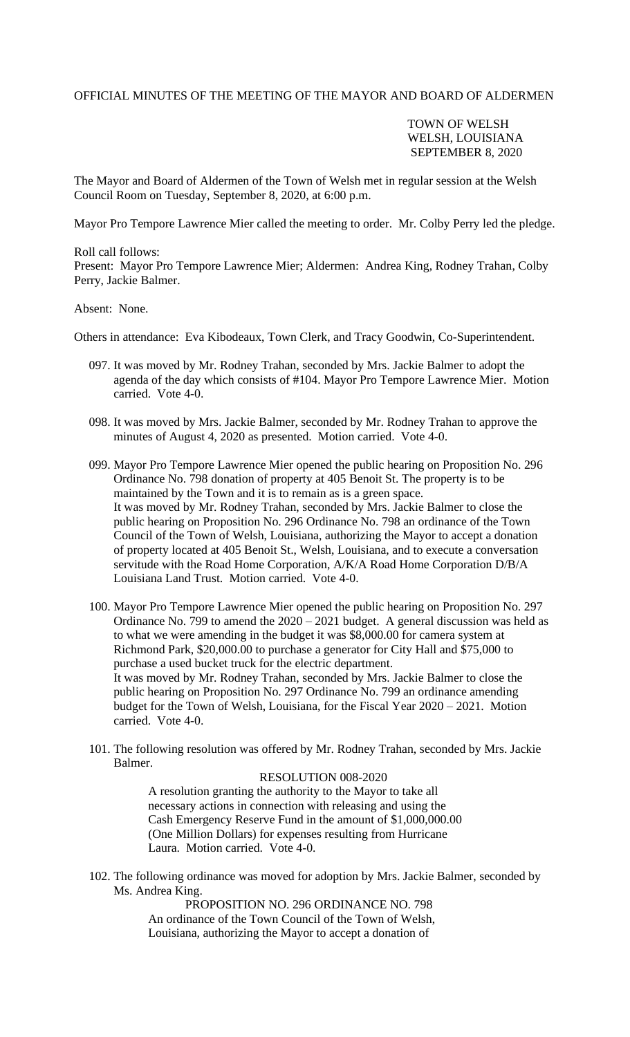## OFFICIAL MINUTES OF THE MEETING OF THE MAYOR AND BOARD OF ALDERMEN

## TOWN OF WELSH WELSH, LOUISIANA SEPTEMBER 8, 2020

The Mayor and Board of Aldermen of the Town of Welsh met in regular session at the Welsh Council Room on Tuesday, September 8, 2020, at 6:00 p.m.

Mayor Pro Tempore Lawrence Mier called the meeting to order. Mr. Colby Perry led the pledge.

Roll call follows: Present: Mayor Pro Tempore Lawrence Mier; Aldermen: Andrea King, Rodney Trahan, Colby Perry, Jackie Balmer.

### Absent: None.

Others in attendance: Eva Kibodeaux, Town Clerk, and Tracy Goodwin, Co-Superintendent.

- 097. It was moved by Mr. Rodney Trahan, seconded by Mrs. Jackie Balmer to adopt the agenda of the day which consists of #104. Mayor Pro Tempore Lawrence Mier. Motion carried. Vote 4-0.
- 098. It was moved by Mrs. Jackie Balmer, seconded by Mr. Rodney Trahan to approve the minutes of August 4, 2020 as presented. Motion carried. Vote 4-0.
- 099. Mayor Pro Tempore Lawrence Mier opened the public hearing on Proposition No. 296 Ordinance No. 798 donation of property at 405 Benoit St. The property is to be maintained by the Town and it is to remain as is a green space. It was moved by Mr. Rodney Trahan, seconded by Mrs. Jackie Balmer to close the public hearing on Proposition No. 296 Ordinance No. 798 an ordinance of the Town Council of the Town of Welsh, Louisiana, authorizing the Mayor to accept a donation of property located at 405 Benoit St., Welsh, Louisiana, and to execute a conversation servitude with the Road Home Corporation, A/K/A Road Home Corporation D/B/A Louisiana Land Trust. Motion carried. Vote 4-0.
- 100. Mayor Pro Tempore Lawrence Mier opened the public hearing on Proposition No. 297 Ordinance No. 799 to amend the  $2020 - 2021$  budget. A general discussion was held as to what we were amending in the budget it was \$8,000.00 for camera system at Richmond Park, \$20,000.00 to purchase a generator for City Hall and \$75,000 to purchase a used bucket truck for the electric department. It was moved by Mr. Rodney Trahan, seconded by Mrs. Jackie Balmer to close the public hearing on Proposition No. 297 Ordinance No. 799 an ordinance amending budget for the Town of Welsh, Louisiana, for the Fiscal Year 2020 – 2021. Motion carried. Vote 4-0.
- 101. The following resolution was offered by Mr. Rodney Trahan, seconded by Mrs. Jackie Balmer.

### RESOLUTION 008-2020

 A resolution granting the authority to the Mayor to take all necessary actions in connection with releasing and using the Cash Emergency Reserve Fund in the amount of \$1,000,000.00 (One Million Dollars) for expenses resulting from Hurricane Laura. Motion carried. Vote 4-0.

102. The following ordinance was moved for adoption by Mrs. Jackie Balmer, seconded by Ms. Andrea King.

> PROPOSITION NO. 296 ORDINANCE NO. 798 An ordinance of the Town Council of the Town of Welsh, Louisiana, authorizing the Mayor to accept a donation of